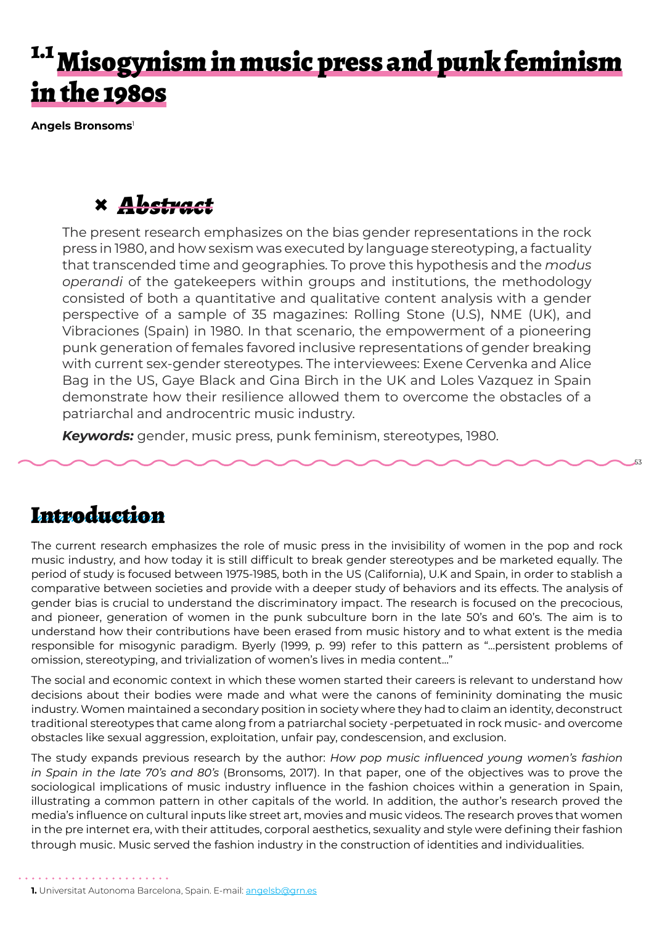# <sup>1.1</sup> Misogynism in music press and punk feminism in the 1980s

**Angels Bronsoms**<sup>1</sup>

## **×** *Abstract*

The present research emphasizes on the bias gender representations in the rock press in 1980, and how sexism was executed by language stereotyping, a factuality that transcended time and geographies. To prove this hypothesis and the *modus operandi* of the gatekeepers within groups and institutions, the methodology consisted of both a quantitative and qualitative content analysis with a gender perspective of a sample of 35 magazines: Rolling Stone (U.S), NME (UK), and Vibraciones (Spain) in 1980. In that scenario, the empowerment of a pioneering punk generation of females favored inclusive representations of gender breaking with current sex-gender stereotypes. The interviewees: Exene Cervenka and Alice Bag in the US, Gaye Black and Gina Birch in the UK and Loles Vazquez in Spain demonstrate how their resilience allowed them to overcome the obstacles of a patriarchal and androcentric music industry.

53

*Keywords:* gender, music press, punk feminism, stereotypes, 1980.

#### Introduction

The current research emphasizes the role of music press in the invisibility of women in the pop and rock music industry, and how today it is still difficult to break gender stereotypes and be marketed equally. The period of study is focused between 1975-1985, both in the US (California), U.K and Spain, in order to stablish a comparative between societies and provide with a deeper study of behaviors and its effects. The analysis of gender bias is crucial to understand the discriminatory impact. The research is focused on the precocious, and pioneer, generation of women in the punk subculture born in the late 50's and 60's. The aim is to understand how their contributions have been erased from music history and to what extent is the media responsible for misogynic paradigm. Byerly (1999, p. 99) refer to this pattern as "...persistent problems of omission, stereotyping, and trivialization of women's lives in media content..."

The social and economic context in which these women started their careers is relevant to understand how decisions about their bodies were made and what were the canons of femininity dominating the music industry. Women maintained a secondary position in society where they had to claim an identity, deconstruct traditional stereotypes that came along from a patriarchal society -perpetuated in rock music- and overcome obstacles like sexual aggression, exploitation, unfair pay, condescension, and exclusion.

The study expands previous research by the author: *How pop music influenced young women's fashion in Spain in the late 70's and 80's* (Bronsoms, 2017). In that paper, one of the objectives was to prove the sociological implications of music industry influence in the fashion choices within a generation in Spain, illustrating a common pattern in other capitals of the world. In addition, the author's research proved the media's influence on cultural inputs like street art, movies and music videos. The research proves that women in the pre internet era, with their attitudes, corporal aesthetics, sexuality and style were defining their fashion through music. Music served the fashion industry in the construction of identities and individualities.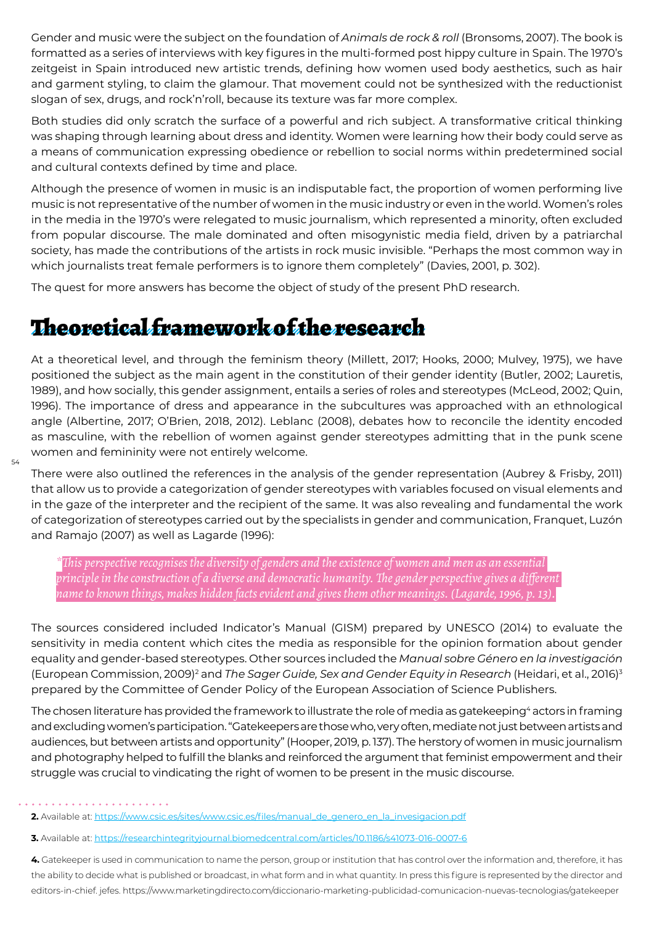Gender and music were the subject on the foundation of *Animals de rock & roll* (Bronsoms, 2007). The book is formatted as a series of interviews with key figures in the multi-formed post hippy culture in Spain. The 1970's zeitgeist in Spain introduced new artistic trends, defining how women used body aesthetics, such as hair and garment styling, to claim the glamour. That movement could not be synthesized with the reductionist slogan of sex, drugs, and rock'n'roll, because its texture was far more complex.

Both studies did only scratch the surface of a powerful and rich subject. A transformative critical thinking was shaping through learning about dress and identity. Women were learning how their body could serve as a means of communication expressing obedience or rebellion to social norms within predetermined social and cultural contexts defined by time and place.

Although the presence of women in music is an indisputable fact, the proportion of women performing live music is not representative of the number of women in the music industry or even in the world. Women's roles in the media in the 1970's were relegated to music journalism, which represented a minority, often excluded from popular discourse. The male dominated and often misogynistic media field, driven by a patriarchal society, has made the contributions of the artists in rock music invisible. "Perhaps the most common way in which journalists treat female performers is to ignore them completely" (Davies, 2001, p. 302).

The quest for more answers has become the object of study of the present PhD research.

### Theoretical framework of the research

At a theoretical level, and through the feminism theory (Millett, 2017; Hooks, 2000; Mulvey, 1975), we have positioned the subject as the main agent in the constitution of their gender identity (Butler, 2002; Lauretis, 1989), and how socially, this gender assignment, entails a series of roles and stereotypes (McLeod, 2002; Quin, 1996). The importance of dress and appearance in the subcultures was approached with an ethnological angle (Albertine, 2017; O'Brien, 2018, 2012). Leblanc (2008), debates how to reconcile the identity encoded as masculine, with the rebellion of women against gender stereotypes admitting that in the punk scene women and femininity were not entirely welcome.

There were also outlined the references in the analysis of the gender representation (Aubrey & Frisby, 2011) that allow us to provide a categorization of gender stereotypes with variables focused on visual elements and in the gaze of the interpreter and the recipient of the same. It was also revealing and fundamental the work of categorization of stereotypes carried out by the specialists in gender and communication, Franquet, Luzón and Ramajo (2007) as well as Lagarde (1996):

*\*This perspective recognises the diversity of genders and the existence of women and men as an essential principle in the construction of a diverse and democratic humanity. The gender perspective gives a different name to known things, makes hidden facts evident and gives them other meanings. (Lagarde, 1996, p. 13).*

The sources considered included Indicator's Manual (GISM) prepared by UNESCO (2014) to evaluate the sensitivity in media content which cites the media as responsible for the opinion formation about gender equality and gender-based stereotypes. Other sources included the *Manual sobre Género en la investigación*  (European Commission, 2009)<sup>2</sup> and *The Sager Guide, Sex and Gender Equity in Research* (Heidari, et al., 2016)<sup>3</sup> prepared by the Committee of Gender Policy of the European Association of Science Publishers.

The chosen literature has provided the framework to illustrate the role of media as gatekeeping<sup>4</sup> actors in framing and excluding women's participation. "Gatekeepers are those who, very often, mediate not just between artists and audiences, but between artists and opportunity" (Hooper, 2019, p. 137). The herstory of women in music journalism and photography helped to fulfill the blanks and reinforced the argument that feminist empowerment and their struggle was crucial to vindicating the right of women to be present in the music discourse.

**4.** Gatekeeper is used in communication to name the person, group or institution that has control over the information and, therefore, it has the ability to decide what is published or broadcast, in what form and in what quantity. In press this figure is represented by the director and editors-in-chief. jefes. https://www.marketingdirecto.com/diccionario-marketing-publicidad-comunicacion-nuevas-tecnologias/gatekeeper

**<sup>2.</sup>** Available at: https://www.csic.es/sites/www.csic.es/files/manual\_de\_genero\_en\_la\_invesigacion.pdf

**<sup>3.</sup>** Available at: https://researchintegrityjournal.biomedcentral.com/articles/10.1186/s41073-016-0007-6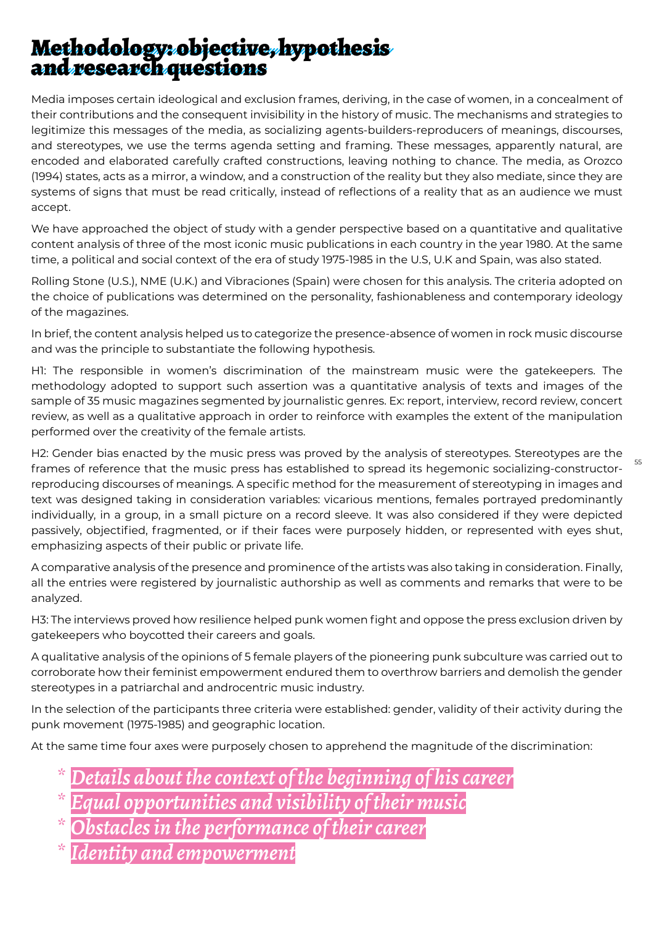### Methodology: objective, hypothesis and research questions

Media imposes certain ideological and exclusion frames, deriving, in the case of women, in a concealment of their contributions and the consequent invisibility in the history of music. The mechanisms and strategies to legitimize this messages of the media, as socializing agents-builders-reproducers of meanings, discourses, and stereotypes, we use the terms agenda setting and framing. These messages, apparently natural, are encoded and elaborated carefully crafted constructions, leaving nothing to chance. The media, as Orozco (1994) states, acts as a mirror, a window, and a construction of the reality but they also mediate, since they are systems of signs that must be read critically, instead of reflections of a reality that as an audience we must accept.

We have approached the object of study with a gender perspective based on a quantitative and qualitative content analysis of three of the most iconic music publications in each country in the year 1980. At the same time, a political and social context of the era of study 1975-1985 in the U.S, U.K and Spain, was also stated.

Rolling Stone (U.S.), NME (U.K.) and Vibraciones (Spain) were chosen for this analysis. The criteria adopted on the choice of publications was determined on the personality, fashionableness and contemporary ideology of the magazines.

In brief, the content analysis helped us to categorize the presence-absence of women in rock music discourse and was the principle to substantiate the following hypothesis.

H1: The responsible in women's discrimination of the mainstream music were the gatekeepers. The methodology adopted to support such assertion was a quantitative analysis of texts and images of the sample of 35 music magazines segmented by journalistic genres. Ex: report, interview, record review, concert review, as well as a qualitative approach in order to reinforce with examples the extent of the manipulation performed over the creativity of the female artists.

H2: Gender bias enacted by the music press was proved by the analysis of stereotypes. Stereotypes are the frames of reference that the music press has established to spread its hegemonic socializing-constructorreproducing discourses of meanings. A specific method for the measurement of stereotyping in images and text was designed taking in consideration variables: vicarious mentions, females portrayed predominantly individually, in a group, in a small picture on a record sleeve. It was also considered if they were depicted passively, objectified, fragmented, or if their faces were purposely hidden, or represented with eyes shut, emphasizing aspects of their public or private life.

55

A comparative analysis of the presence and prominence of the artists was also taking in consideration. Finally, all the entries were registered by journalistic authorship as well as comments and remarks that were to be analyzed.

H3: The interviews proved how resilience helped punk women fight and oppose the press exclusion driven by gatekeepers who boycotted their careers and goals.

A qualitative analysis of the opinions of 5 female players of the pioneering punk subculture was carried out to corroborate how their feminist empowerment endured them to overthrow barriers and demolish the gender stereotypes in a patriarchal and androcentric music industry.

In the selection of the participants three criteria were established: gender, validity of their activity during the punk movement (1975-1985) and geographic location.

At the same time four axes were purposely chosen to apprehend the magnitude of the discrimination:

- *\* Details about the context of the beginning of his career*
- *\* Equal opportunities and visibility of their music*
- *\* Obstacles in the performance of their career*
- *\* Identity and empowerment*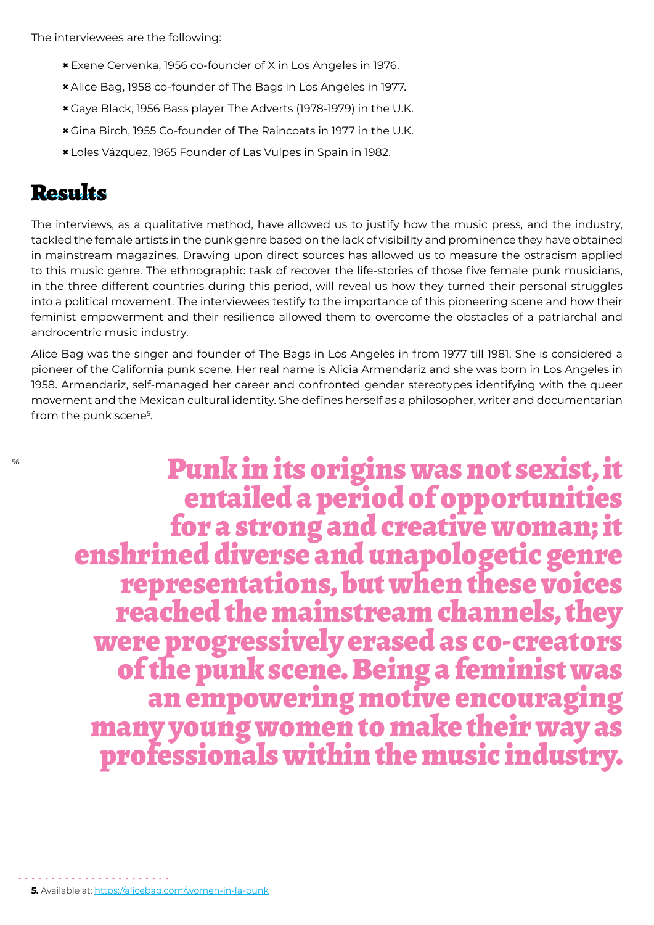The interviewees are the following:

- **×**Exene Cervenka, 1956 co-founder of X in Los Angeles in 1976.
- **×** Alice Bag, 1958 co-founder of The Bags in Los Angeles in 1977.
- **×** Gaye Black, 1956 Bass player The Adverts (1978-1979) in the U.K.
- **×** Gina Birch, 1955 Co-founder of The Raincoats in 1977 in the U.K.
- **×** Loles Vázquez, 1965 Founder of Las Vulpes in Spain in 1982.

#### Results

The interviews, as a qualitative method, have allowed us to justify how the music press, and the industry, tackled the female artists in the punk genre based on the lack of visibility and prominence they have obtained in mainstream magazines. Drawing upon direct sources has allowed us to measure the ostracism applied to this music genre. The ethnographic task of recover the life-stories of those five female punk musicians, in the three different countries during this period, will reveal us how they turned their personal struggles into a political movement. The interviewees testify to the importance of this pioneering scene and how their feminist empowerment and their resilience allowed them to overcome the obstacles of a patriarchal and androcentric music industry.

Alice Bag was the singer and founder of The Bags in Los Angeles in from 1977 till 1981. She is considered a pioneer of the California punk scene. Her real name is Alicia Armendariz and she was born in Los Angeles in 1958. Armendariz, self-managed her career and confronted gender stereotypes identifying with the queer movement and the Mexican cultural identity. She defines herself as a philosopher, writer and documentarian from the punk scene<sup>5</sup>.

Punk in its origins was not sexist, it entailed a period of opportunities enshrined diverse and unapologetic genre<br>representations, but when these voices reached the mainstream channels, they were progressively erased as co-creators of the punk scene. Being a feminist was an empowering motive encouraging many young women to make their way as professionals within the music industry.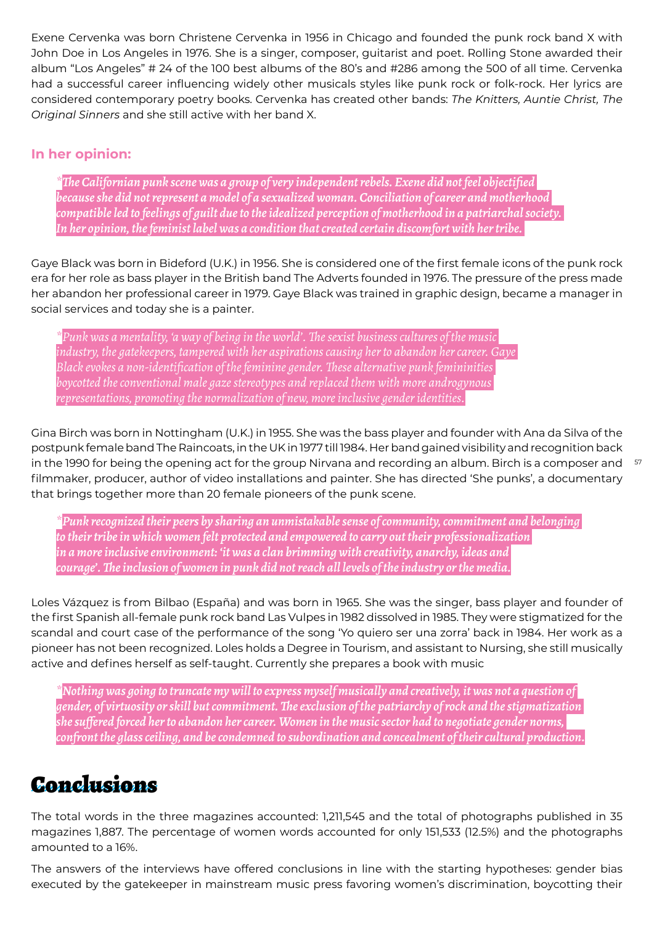Exene Cervenka was born Christene Cervenka in 1956 in Chicago and founded the punk rock band X with John Doe in Los Angeles in 1976. She is a singer, composer, guitarist and poet. Rolling Stone awarded their album "Los Angeles" # 24 of the 100 best albums of the 80's and #286 among the 500 of all time. Cervenka had a successful career influencing widely other musicals styles like punk rock or folk-rock. Her lyrics are considered contemporary poetry books. Cervenka has created other bands: *The Knitters, Auntie Christ, The Original Sinners* and she still active with her band X.

#### **In her opinion:**

*\*The Californian punk scene was a group of very independent rebels. Exene did not feel objectified because she did not represent a model of a sexualized woman. Conciliation of career and motherhood compatible led to feelings of guilt due to the idealized perception of motherhood in a patriarchal society. In her opinion, the feminist label was a condition that created certain discomfort with her tribe.* 

Gaye Black was born in Bideford (U.K.) in 1956. She is considered one of the first female icons of the punk rock era for her role as bass player in the British band The Adverts founded in 1976. The pressure of the press made her abandon her professional career in 1979. Gaye Black was trained in graphic design, became a manager in social services and today she is a painter.

*\*Punk was a mentality, 'a way of being in the world'. The sexist business cultures of the music industry, the gatekeepers, tampered with her aspirations causing her to abandon her career. Gaye Black evokes a non-identification of the feminine gender. These alternative punk femininities boycotted the conventional male gaze stereotypes and replaced them with more androgynous representations, promoting the normalization of new, more inclusive gender identities.*

in the 1990 for being the opening act for the group Nirvana and recording an album. Birch is a composer and  $^{-57}$ Gina Birch was born in Nottingham (U.K.) in 1955. She was the bass player and founder with Ana da Silva of the postpunk female band The Raincoats, in the UK in 1977 till 1984. Her band gained visibility and recognition back filmmaker, producer, author of video installations and painter. She has directed 'She punks', a documentary that brings together more than 20 female pioneers of the punk scene.

*\*Punk recognized their peers by sharing an unmistakable sense of community, commitment and belonging to their tribe in which women felt protected and empowered to carry out their professionalization in a more inclusive environment: 'it was a clan brimming with creativity, anarchy, ideas and courage'. The inclusion of women in punk did not reach all levels of the industry or the media.*

Loles Vázquez is from Bilbao (España) and was born in 1965. She was the singer, bass player and founder of the first Spanish all-female punk rock band Las Vulpes in 1982 dissolved in 1985. They were stigmatized for the scandal and court case of the performance of the song 'Yo quiero ser una zorra' back in 1984. Her work as a pioneer has not been recognized. Loles holds a Degree in Tourism, and assistant to Nursing, she still musically active and defines herself as self-taught. Currently she prepares a book with music

*\*Nothing was going to truncate my will to express myself musically and creatively, it was not a question of gender, of virtuosity or skill but commitment. The exclusion of the patriarchy of rock and the stigmatization she suffered forced her to abandon her career. Women in the music sector had to negotiate gender norms, confront the glass ceiling, and be condemned to subordination and concealment of their cultural production.*

### Conclusions

The total words in the three magazines accounted: 1,211,545 and the total of photographs published in 35 magazines 1,887. The percentage of women words accounted for only 151,533 (12.5%) and the photographs amounted to a 16%.

The answers of the interviews have offered conclusions in line with the starting hypotheses: gender bias executed by the gatekeeper in mainstream music press favoring women's discrimination, boycotting their